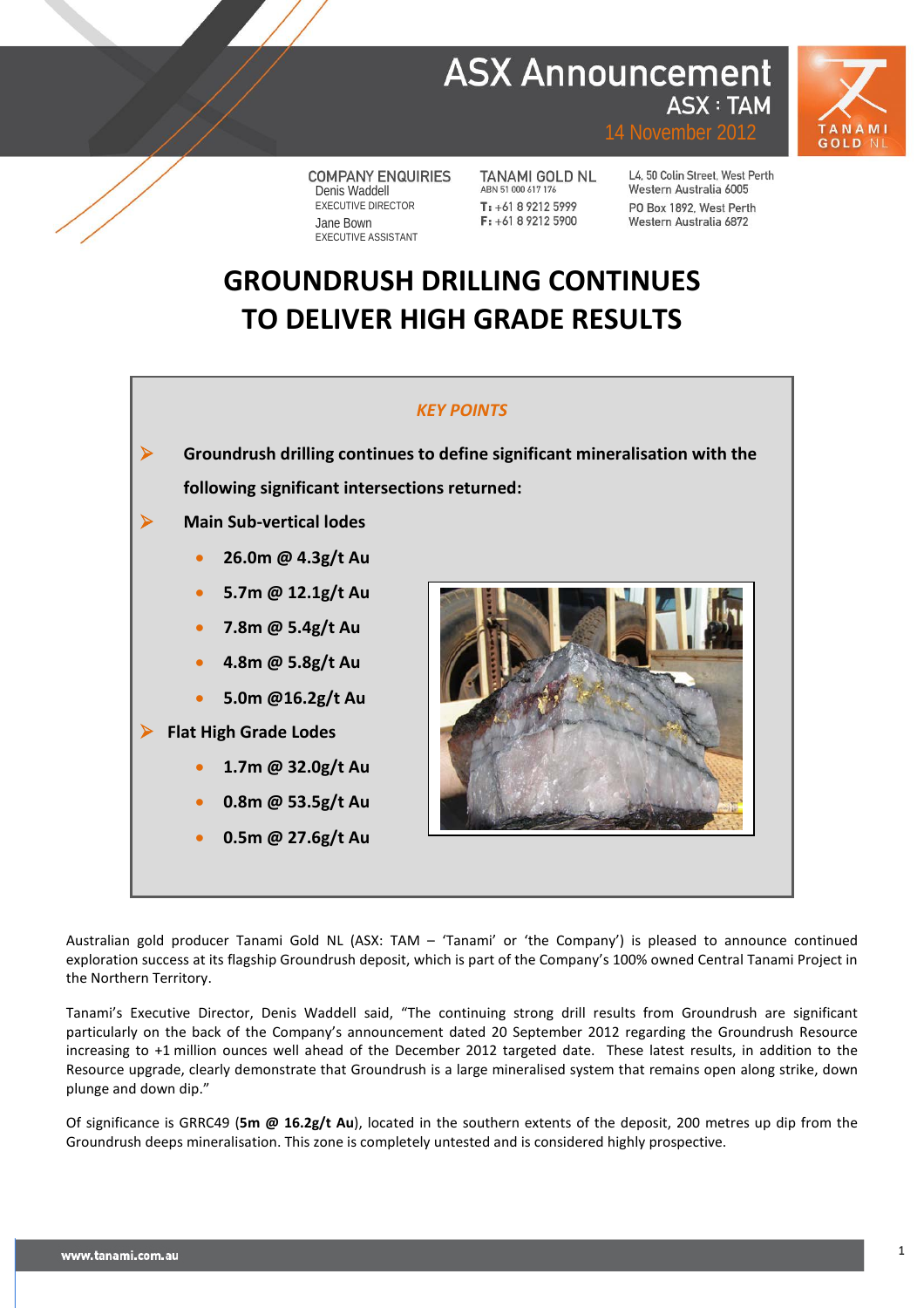## **ASX Announcement ASX: TAM**



14 November 2012

**COMPANY ENQUIRIES** Denis Waddell EXECUTIVE DIRECTOR Jane Bown EXECUTIVE ASSISTANT

**TANAMI GOLD NL** ABN 51 000 617 176 T: +61 8 9212 5999  $F: +61892125900$ 

L4, 50 Colin Street, West Perth Western Australia 6005 PO Box 1892, West Perth Western Australia 6872

# **GROUNDRUSH DRILLING CONTINUES TO DELIVER HIGH GRADE RESULTS**

### *KEY POINTS*

 **Groundrush drilling continues to define significant mineralisation with the following significant intersections returned:**

**Main Sub-vertical lodes**

- **26.0m @ 4.3g/t Au**
- **5.7m @ 12.1g/t Au**
- **7.8m @ 5.4g/t Au**
- **4.8m @ 5.8g/t Au**
- **5.0m @16.2g/t Au**

## **Flat High Grade Lodes**

- **1.7m @ 32.0g/t Au**
- **0.8m @ 53.5g/t Au**
- **0.5m @ 27.6g/t Au**



Australian gold producer Tanami Gold NL (ASX: TAM – 'Tanami' or 'the Company') is pleased to announce continued exploration success at its flagship Groundrush deposit, which is part of the Company's 100% owned Central Tanami Project in the Northern Territory.

Tanami's Executive Director, Denis Waddell said, "The continuing strong drill results from Groundrush are significant particularly on the back of the Company's announcement dated 20 September 2012 regarding the Groundrush Resource increasing to +1 million ounces well ahead of the December 2012 targeted date. These latest results, in addition to the Resource upgrade, clearly demonstrate that Groundrush is a large mineralised system that remains open along strike, down plunge and down dip."

Of significance is GRRC49 (**5m @ 16.2g/t Au**), located in the southern extents of the deposit, 200 metres up dip from the Groundrush deeps mineralisation. This zone is completely untested and is considered highly prospective.

**1**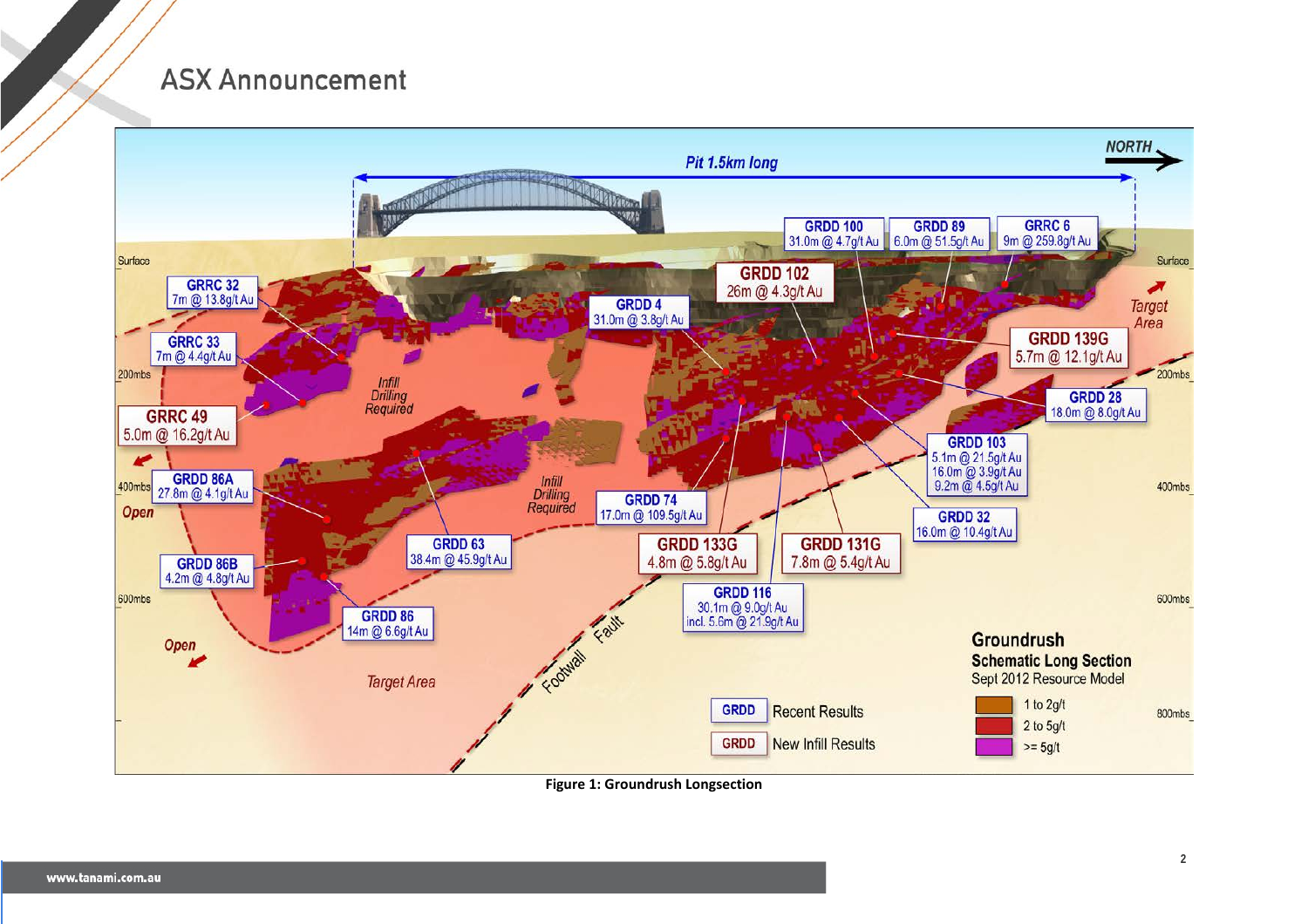

**Figure 1: Groundrush Longsection**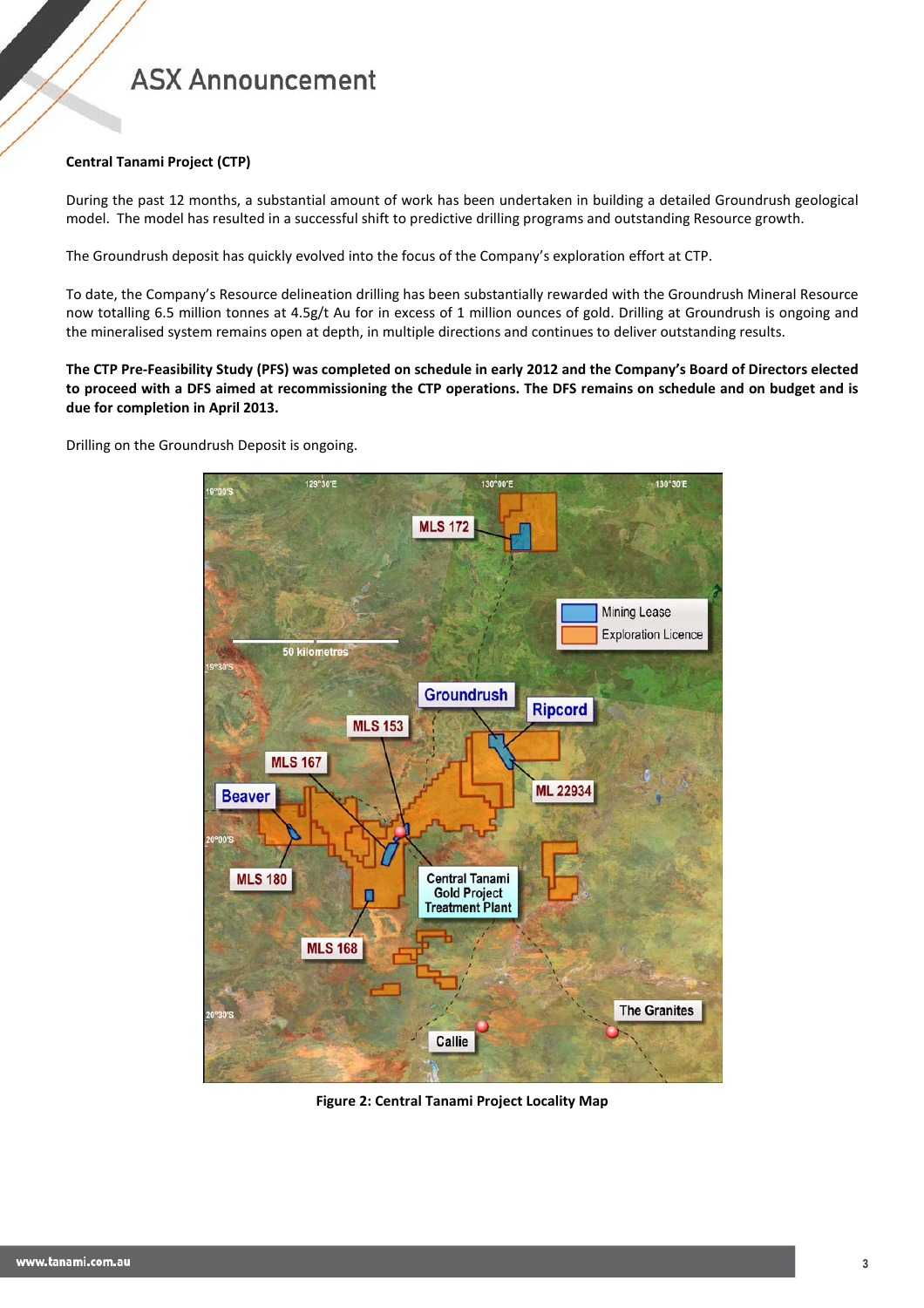### **Central Tanami Project (CTP)**

During the past 12 months, a substantial amount of work has been undertaken in building a detailed Groundrush geological model. The model has resulted in a successful shift to predictive drilling programs and outstanding Resource growth.

The Groundrush deposit has quickly evolved into the focus of the Company's exploration effort at CTP.

To date, the Company's Resource delineation drilling has been substantially rewarded with the Groundrush Mineral Resource now totalling 6.5 million tonnes at 4.5g/t Au for in excess of 1 million ounces of gold. Drilling at Groundrush is ongoing and the mineralised system remains open at depth, in multiple directions and continues to deliver outstanding results.

**The CTP Pre-Feasibility Study (PFS) was completed on schedule in early 2012 and the Company's Board of Directors elected to proceed with a DFS aimed at recommissioning the CTP operations. The DFS remains on schedule and on budget and is due for completion in April 2013.**

Drilling on the Groundrush Deposit is ongoing.



**Figure 2: Central Tanami Project Locality Map**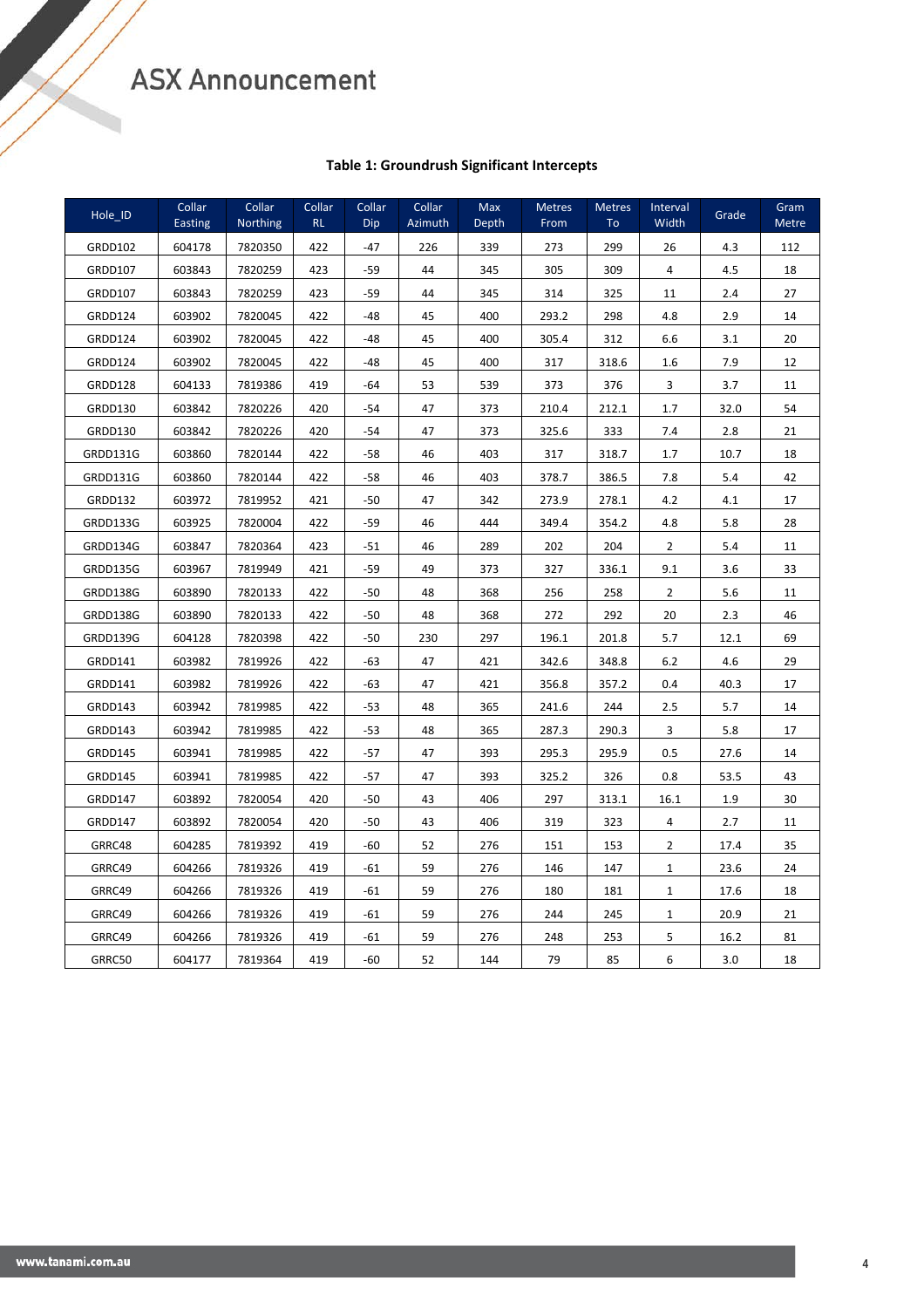## **Table 1: Groundrush Significant Intercepts**

| Hole ID        | Collar<br><b>Easting</b> | Collar<br>Northing | Collar<br><b>RL</b> | Collar<br>Dip | Collar<br>Azimuth | Max<br>Depth | <b>Metres</b><br>From | <b>Metres</b><br>T <sub>o</sub> | Interval<br>Width | Grade | Gram<br><b>Metre</b> |
|----------------|--------------------------|--------------------|---------------------|---------------|-------------------|--------------|-----------------------|---------------------------------|-------------------|-------|----------------------|
| <b>GRDD102</b> | 604178                   | 7820350            | 422                 | $-47$         | 226               | 339          | 273                   | 299                             | 26                | 4.3   | 112                  |
| <b>GRDD107</b> | 603843                   | 7820259            | 423                 | -59           | 44                | 345          | 305                   | 309                             | 4                 | 4.5   | 18                   |
| GRDD107        | 603843                   | 7820259            | 423                 | -59           | 44                | 345          | 314                   | 325                             | 11                | 2.4   | 27                   |
| GRDD124        | 603902                   | 7820045            | 422                 | -48           | 45                | 400          | 293.2                 | 298                             | 4.8               | 2.9   | 14                   |
| GRDD124        | 603902                   | 7820045            | 422                 | $-48$         | 45                | 400          | 305.4                 | 312                             | 6.6               | 3.1   | 20                   |
| GRDD124        | 603902                   | 7820045            | 422                 | $-48$         | 45                | 400          | 317                   | 318.6                           | 1.6               | 7.9   | 12                   |
| GRDD128        | 604133                   | 7819386            | 419                 | $-64$         | 53                | 539          | 373                   | 376                             | 3                 | 3.7   | 11                   |
| GRDD130        | 603842                   | 7820226            | 420                 | $-54$         | 47                | 373          | 210.4                 | 212.1                           | 1.7               | 32.0  | 54                   |
| GRDD130        | 603842                   | 7820226            | 420                 | $-54$         | 47                | 373          | 325.6                 | 333                             | 7.4               | 2.8   | 21                   |
| GRDD131G       | 603860                   | 7820144            | 422                 | -58           | 46                | 403          | 317                   | 318.7                           | 1.7               | 10.7  | 18                   |
| GRDD131G       | 603860                   | 7820144            | 422                 | -58           | 46                | 403          | 378.7                 | 386.5                           | 7.8               | 5.4   | 42                   |
| GRDD132        | 603972                   | 7819952            | 421                 | -50           | 47                | 342          | 273.9                 | 278.1                           | 4.2               | 4.1   | 17                   |
| GRDD133G       | 603925                   | 7820004            | 422                 | $-59$         | 46                | 444          | 349.4                 | 354.2                           | 4.8               | 5.8   | 28                   |
| GRDD134G       | 603847                   | 7820364            | 423                 | $-51$         | 46                | 289          | 202                   | 204                             | $\overline{2}$    | 5.4   | 11                   |
| GRDD135G       | 603967                   | 7819949            | 421                 | $-59$         | 49                | 373          | 327                   | 336.1                           | 9.1               | 3.6   | 33                   |
| GRDD138G       | 603890                   | 7820133            | 422                 | $-50$         | 48                | 368          | 256                   | 258                             | 2                 | 5.6   | 11                   |
| GRDD138G       | 603890                   | 7820133            | 422                 | $-50$         | 48                | 368          | 272                   | 292                             | 20                | 2.3   | 46                   |
| GRDD139G       | 604128                   | 7820398            | 422                 | $-50$         | 230               | 297          | 196.1                 | 201.8                           | 5.7               | 12.1  | 69                   |
| GRDD141        | 603982                   | 7819926            | 422                 | $-63$         | 47                | 421          | 342.6                 | 348.8                           | $6.2$             | 4.6   | 29                   |
| GRDD141        | 603982                   | 7819926            | 422                 | -63           | 47                | 421          | 356.8                 | 357.2                           | 0.4               | 40.3  | 17                   |
| GRDD143        | 603942                   | 7819985            | 422                 | $-53$         | 48                | 365          | 241.6                 | 244                             | 2.5               | 5.7   | 14                   |
| GRDD143        | 603942                   | 7819985            | 422                 | -53           | 48                | 365          | 287.3                 | 290.3                           | 3                 | 5.8   | 17                   |
| GRDD145        | 603941                   | 7819985            | 422                 | $-57$         | 47                | 393          | 295.3                 | 295.9                           | 0.5               | 27.6  | 14                   |
| GRDD145        | 603941                   | 7819985            | 422                 | -57           | 47                | 393          | 325.2                 | 326                             | 0.8               | 53.5  | 43                   |
| GRDD147        | 603892                   | 7820054            | 420                 | $-50$         | 43                | 406          | 297                   | 313.1                           | 16.1              | 1.9   | 30                   |
| GRDD147        | 603892                   | 7820054            | 420                 | $-50$         | 43                | 406          | 319                   | 323                             | 4                 | 2.7   | 11                   |
| GRRC48         | 604285                   | 7819392            | 419                 | -60           | 52                | 276          | 151                   | 153                             | $\overline{2}$    | 17.4  | 35                   |
| GRRC49         | 604266                   | 7819326            | 419                 | -61           | 59                | 276          | 146                   | 147                             | $\mathbf{1}$      | 23.6  | 24                   |
| GRRC49         | 604266                   | 7819326            | 419                 | -61           | 59                | 276          | 180                   | 181                             | $\mathbf{1}$      | 17.6  | 18                   |
| GRRC49         | 604266                   | 7819326            | 419                 | -61           | 59                | 276          | 244                   | 245                             | $\mathbf{1}$      | 20.9  | 21                   |
| GRRC49         | 604266                   | 7819326            | 419                 | -61           | 59                | 276          | 248                   | 253                             | 5                 | 16.2  | 81                   |
| GRRC50         | 604177                   | 7819364            | 419                 | $-60$         | 52                | 144          | 79                    | 85                              | 6                 | 3.0   | 18                   |